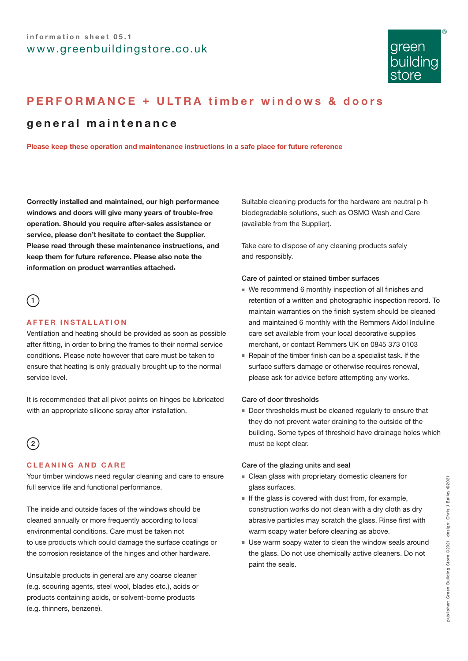

# **PERFORMANCE + ULTRA timber windows & doors**

### **general maintenance**

**Please keep these operation and maintenance instructions in a safe place for future reference**

**Correctly installed and maintained, our high performance windows and doors will give many years of trouble-free operation. Should you require after-sales assistance or service, please don't hesitate to contact the Supplier. Please read through these maintenance instructions, and keep them for future reference. Please also note the information on product warranties attached**.

### $\bigcap$

### **AFTER INSTALLATION**

Ventilation and heating should be provided as soon as possible after fitting, in order to bring the frames to their normal service conditions. Please note however that care must be taken to ensure that heating is only gradually brought up to the normal service level.

It is recommended that all pivot points on hinges be lubricated with an appropriate silicone spray after installation.

## $\sqrt{2}$

### **CLEANING AND CARE**

Your timber windows need regular cleaning and care to ensure full service life and functional performance.

The inside and outside faces of the windows should be cleaned annually or more frequently according to local environmental conditions. Care must be taken not to use products which could damage the surface coatings or the corrosion resistance of the hinges and other hardware.

Unsuitable products in general are any coarse cleaner (e.g. scouring agents, steel wool, blades etc.), acids or products containing acids, or solvent-borne products (e.g. thinners, benzene).

Suitable cleaning products for the hardware are neutral p-h biodegradable solutions, such as OSMO Wash and Care (available from the Supplier).

Take care to dispose of any cleaning products safely and responsibly.

#### Care of painted or stained timber surfaces

- We recommend 6 monthly inspection of all finishes and retention of a written and photographic inspection record. To maintain warranties on the finish system should be cleaned and maintained 6 monthly with the Remmers Aidol Induline care set available from your local decorative supplies merchant, or contact Remmers UK on 0845 373 0103
- Repair of the timber finish can be a specialist task. If the surface suffers damage or otherwise requires renewal, please ask for advice before attempting any works.

### Care of door thresholds

■ Door thresholds must be cleaned regularly to ensure that they do not prevent water draining to the outside of the building. Some types of threshold have drainage holes which must be kept clear.

### Care of the glazing units and seal

- Clean glass with proprietary domestic cleaners for glass surfaces.
- If the glass is covered with dust from, for example, construction works do not clean with a dry cloth as dry abrasive particles may scratch the glass. Rinse first with warm soapy water before cleaning as above.
- Use warm soapy water to clean the window seals around the glass. Do not use chemically active cleaners. Do not paint the seals.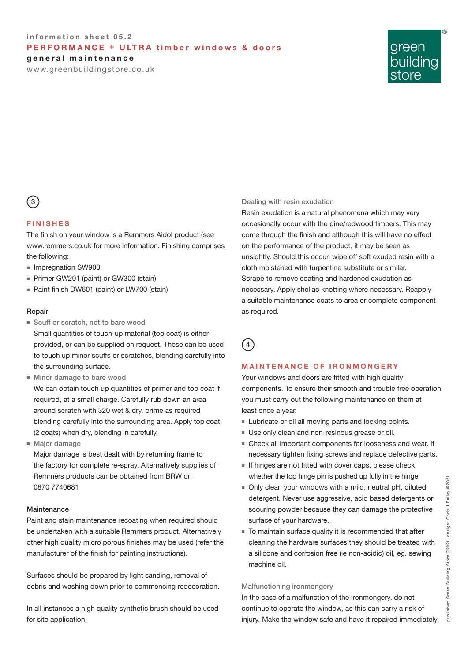### **information sheet 05.2 PERFORMANCE + ULTRA timber windows & doors general maintenance**

www.greenbuildingstore.co.uk



## $\left(3\right)$

### **FINISHES**

The finish on your window is a Remmers Aidol product (see www.remmers.co.uk for more information. Finishing comprises the following:

- Impregnation SW900
- Primer GW201 (paint) or GW300 (stain)
- Paint finish DW601 (paint) or LW700 (stain)

### Repair

- Scuff or scratch, not to bare wood Small quantities of touch-up material (top coat) is either provided, or can be supplied on request. These can be used to touch up minor scuffs or scratches, blending carefully into the surrounding surface.
- Minor damage to bare wood We can obtain touch up quantities of primer and top coat if required, at a small charge. Carefully rub down an area around scratch with 320 wet & dry, prime as required blending carefully into the surrounding area. Apply top coat (2 coats) when dry, blending in carefully.
- Major damage

Major damage is best dealt with by returning frame to the factory for complete re-spray. Alternatively supplies of Remmers products can be obtained from BRW on 0870 7740681

#### **Maintenance**

Paint and stain maintenance recoating when required should be undertaken with a suitable Remmers product. Alternatively other high quality micro porous finishes may be used (refer the manufacturer of the finish for painting instructions).

Surfaces should be prepared by light sanding, removal of debris and washing down prior to commencing redecoration.

In all instances a high quality synthetic brush should be used for site application.

#### Dealing with resin exudation

Resin exudation is a natural phenomena which may very occasionally occur with the pine/redwood timbers. This may come through the finish and although this will have no effect on the performance of the product, it may be seen as unsightly. Should this occur, wipe off soft exuded resin with a cloth moistened with turpentine substitute or similar. Scrape to remove coating and hardened exudation as necessary. Apply shellac knotting where necessary. Reapply a suitable maintenance coats to area or complete component as required.

 $(4)$ 

### **MAINTENANCE OF IRONMONGERY**

Your windows and doors are fitted with high quality components. To ensure their smooth and trouble free operation you must carry out the following maintenance on them at least once a year.

- Lubricate or oil all moving parts and locking points.
- Use only clean and non-resinous grease or oil.
- Check all important components for looseness and wear. If necessary tighten fixing screws and replace defective parts.
- If hinges are not fitted with cover caps, please check whether the top hinge pin is pushed up fully in the hinge.
- Only clean your windows with a mild, neutral pH, diluted detergent. Never use aggressive, acid based detergents or scouring powder because they can damage the protective surface of your hardware.
- To maintain surface quality it is recommended that after cleaning the hardware surfaces they should be treated with a silicone and corrosion free (ie non-acidic) oil, eg. sewing machine oil.

### Malfunctioning ironmongery

In the case of a malfunction of the ironmongery, do not continue to operate the window, as this can carry a risk of injury. Make the window safe and have it repaired immediately.